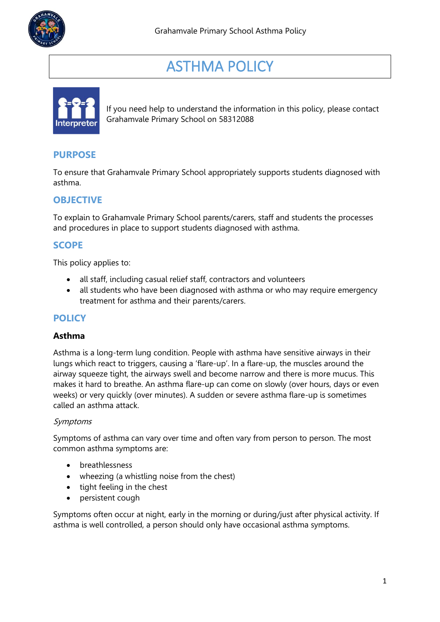

# ASTHMA POLICY



If you need help to understand the information in this policy, please contact Grahamvale Primary School on 58312088

# **PURPOSE**

To ensure that Grahamvale Primary School appropriately supports students diagnosed with asthma.

# **OBJECTIVE**

To explain to Grahamvale Primary School parents/carers, staff and students the processes and procedures in place to support students diagnosed with asthma.

# **SCOPE**

This policy applies to:

- all staff, including casual relief staff, contractors and volunteers
- all students who have been diagnosed with asthma or who may require emergency treatment for asthma and their parents/carers.

# **POLICY**

#### **Asthma**

Asthma is a long-term lung condition. People with asthma have sensitive airways in their lungs which react to triggers, causing a 'flare-up'. In a flare-up, the muscles around the airway squeeze tight, the airways swell and become narrow and there is more mucus. This makes it hard to breathe. An asthma flare-up can come on slowly (over hours, days or even weeks) or very quickly (over minutes). A sudden or severe asthma flare-up is sometimes called an asthma attack.

#### Symptoms

Symptoms of asthma can vary over time and often vary from person to person. The most common asthma symptoms are:

- breathlessness
- wheezing (a whistling noise from the chest)
- tight feeling in the chest
- persistent cough

Symptoms often occur at night, early in the morning or during/just after physical activity. If asthma is well controlled, a person should only have occasional asthma symptoms.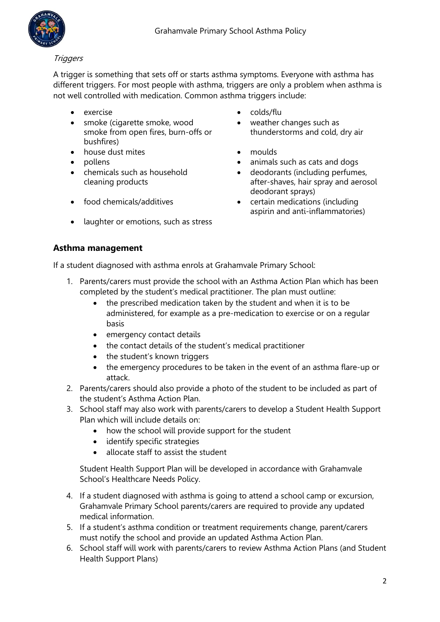

#### **Triggers**

A trigger is something that sets off or starts asthma symptoms. Everyone with asthma has different triggers. For most people with asthma, triggers are only a problem when asthma is not well controlled with medication. Common asthma triggers include:

- 
- smoke (cigarette smoke, wood smoke from open fires, burn-offs or bushfires)
- house dust mites **•** moulds
- 
- chemicals such as household cleaning products
- 
- laughter or emotions, such as stress
- exercise colds/flu
	- weather changes such as thunderstorms and cold, dry air
	-
- pollens animals such as cats and dogs
	- deodorants (including perfumes, after-shaves, hair spray and aerosol deodorant sprays)
- food chemicals/additives certain medications (including aspirin and anti-inflammatories)

## **Asthma management**

If a student diagnosed with asthma enrols at Grahamvale Primary School:

- 1. Parents/carers must provide the school with an Asthma Action Plan which has been completed by the student's medical practitioner. The plan must outline:
	- the prescribed medication taken by the student and when it is to be administered, for example as a pre-medication to exercise or on a regular basis
	- emergency contact details
	- the contact details of the student's medical practitioner
	- the student's known triggers
	- the emergency procedures to be taken in the event of an asthma flare-up or attack.
- 2. Parents/carers should also provide a photo of the student to be included as part of the student's Asthma Action Plan.
- 3. School staff may also work with parents/carers to develop a Student Health Support Plan which will include details on:
	- how the school will provide support for the student
	- identify specific strategies
	- allocate staff to assist the student

Student Health Support Plan will be developed in accordance with Grahamvale School's Healthcare Needs Policy.

- 4. If a student diagnosed with asthma is going to attend a school camp or excursion, Grahamvale Primary School parents/carers are required to provide any updated medical information.
- 5. If a student's asthma condition or treatment requirements change, parent/carers must notify the school and provide an updated Asthma Action Plan.
- 6. School staff will work with parents/carers to review Asthma Action Plans (and Student Health Support Plans)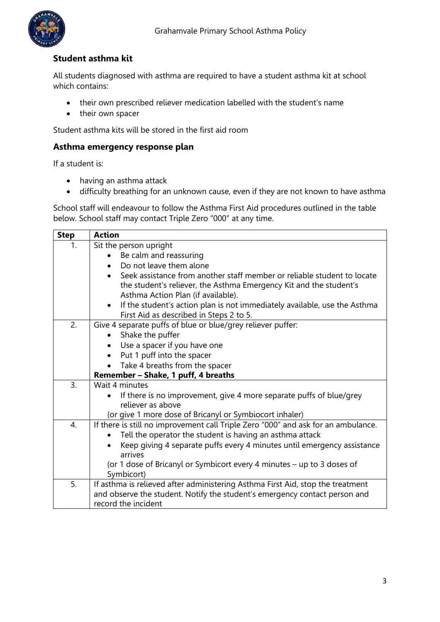

## **Student asthma kit**

All students diagnosed with asthma are required to have a student asthma kit at school which contains:

- their own prescribed reliever medication labelled with the student's name
- their own spacer

Student asthma kits will be stored in the first aid room

#### **Asthma emergency response plan**

If a student is:

- having an asthma attack
- difficulty breathing for an unknown cause, even if they are not known to have asthma

School staff will endeavour to follow the Asthma First Aid procedures outlined in the table below. School staff may contact Triple Zero "000" at any time.

| <b>Step</b> | <b>Action</b>                                                                                                                     |  |  |  |  |
|-------------|-----------------------------------------------------------------------------------------------------------------------------------|--|--|--|--|
| 1.          | Sit the person upright                                                                                                            |  |  |  |  |
|             | Be calm and reassuring                                                                                                            |  |  |  |  |
|             | Do not leave them alone                                                                                                           |  |  |  |  |
|             | Seek assistance from another staff member or reliable student to locate<br>$\bullet$                                              |  |  |  |  |
|             | the student's reliever, the Asthma Emergency Kit and the student's                                                                |  |  |  |  |
|             | Asthma Action Plan (if available).                                                                                                |  |  |  |  |
|             | If the student's action plan is not immediately available, use the Asthma<br>$\bullet$<br>First Aid as described in Steps 2 to 5. |  |  |  |  |
| 2.          | Give 4 separate puffs of blue or blue/grey reliever puffer:                                                                       |  |  |  |  |
|             | Shake the puffer<br>$\bullet$                                                                                                     |  |  |  |  |
|             | Use a spacer if you have one                                                                                                      |  |  |  |  |
|             | Put 1 puff into the spacer                                                                                                        |  |  |  |  |
|             | Take 4 breaths from the spacer                                                                                                    |  |  |  |  |
|             | Remember - Shake, 1 puff, 4 breaths                                                                                               |  |  |  |  |
| 3.          | Wait 4 minutes                                                                                                                    |  |  |  |  |
|             | If there is no improvement, give 4 more separate puffs of blue/grey<br>$\bullet$                                                  |  |  |  |  |
|             | reliever as above                                                                                                                 |  |  |  |  |
|             | (or give 1 more dose of Bricanyl or Symbiocort inhaler)                                                                           |  |  |  |  |
| 4.          | If there is still no improvement call Triple Zero "000" and ask for an ambulance.                                                 |  |  |  |  |
|             | Tell the operator the student is having an asthma attack                                                                          |  |  |  |  |
|             | Keep giving 4 separate puffs every 4 minutes until emergency assistance<br>arrives                                                |  |  |  |  |
|             | (or 1 dose of Bricanyl or Symbicort every 4 minutes – up to 3 doses of                                                            |  |  |  |  |
|             | Symbicort)                                                                                                                        |  |  |  |  |
| 5.          | If asthma is relieved after administering Asthma First Aid, stop the treatment                                                    |  |  |  |  |
|             | and observe the student. Notify the student's emergency contact person and                                                        |  |  |  |  |
|             | record the incident                                                                                                               |  |  |  |  |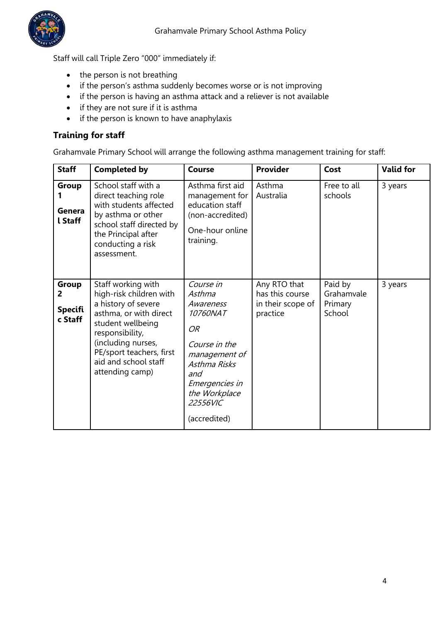

Staff will call Triple Zero "000" immediately if:

- the person is not breathing
- if the person's asthma suddenly becomes worse or is not improving
- if the person is having an asthma attack and a reliever is not available
- if they are not sure if it is asthma
- if the person is known to have anaphylaxis

## **Training for staff**

Grahamvale Primary School will arrange the following asthma management training for staff:

| <b>Staff</b>                            | <b>Completed by</b>                                                                                                                                                                                                                 | <b>Course</b>                                                                                                                                                              | <b>Provider</b>                                                  | Cost                                       | <b>Valid for</b> |
|-----------------------------------------|-------------------------------------------------------------------------------------------------------------------------------------------------------------------------------------------------------------------------------------|----------------------------------------------------------------------------------------------------------------------------------------------------------------------------|------------------------------------------------------------------|--------------------------------------------|------------------|
| <b>Group</b><br>Genera<br>l Staff       | School staff with a<br>direct teaching role<br>with students affected<br>by asthma or other<br>school staff directed by<br>the Principal after<br>conducting a risk<br>assessment.                                                  | Asthma first aid<br>management for<br>education staff<br>(non-accredited)<br>One-hour online<br>training.                                                                  | Asthma<br>Australia                                              | Free to all<br>schools                     | 3 years          |
| Group<br>2<br><b>Specifi</b><br>c Staff | Staff working with<br>high-risk children with<br>a history of severe<br>asthma, or with direct<br>student wellbeing<br>responsibility,<br>(including nurses,<br>PE/sport teachers, first<br>aid and school staff<br>attending camp) | Course in<br>Asthma<br>Awareness<br>10760NAT<br>OR<br>Course in the<br>management of<br>Asthma Risks<br>and<br>Emergencies in<br>the Workplace<br>22556VIC<br>(accredited) | Any RTO that<br>has this course<br>in their scope of<br>practice | Paid by<br>Grahamvale<br>Primary<br>School | 3 years          |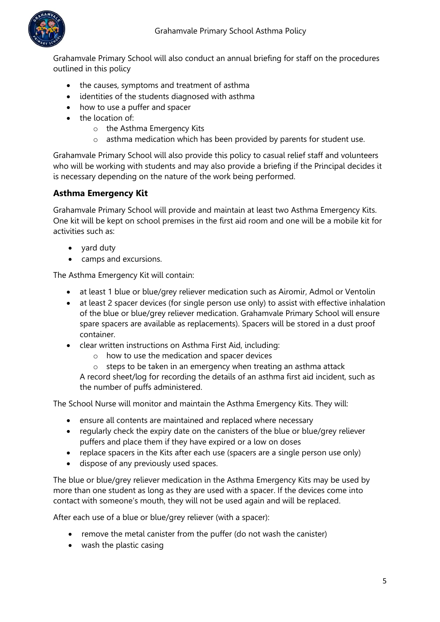

Grahamvale Primary School will also conduct an annual briefing for staff on the procedures outlined in this policy

- the causes, symptoms and treatment of asthma
- identities of the students diagnosed with asthma
- how to use a puffer and spacer
- the location of:
	- o the Asthma Emergency Kits
	- o asthma medication which has been provided by parents for student use.

Grahamvale Primary School will also provide this policy to casual relief staff and volunteers who will be working with students and may also provide a briefing if the Principal decides it is necessary depending on the nature of the work being performed.

## **Asthma Emergency Kit**

Grahamvale Primary School will provide and maintain at least two Asthma Emergency Kits. One kit will be kept on school premises in the first aid room and one will be a mobile kit for activities such as:

- yard duty
- camps and excursions.

The Asthma Emergency Kit will contain:

- at least 1 blue or blue/grey reliever medication such as Airomir, Admol or Ventolin
- at least 2 spacer devices (for single person use only) to assist with effective inhalation of the blue or blue/grey reliever medication. Grahamvale Primary School will ensure spare spacers are available as replacements). Spacers will be stored in a dust proof container.
- clear written instructions on Asthma First Aid, including:
	- o how to use the medication and spacer devices
	- o steps to be taken in an emergency when treating an asthma attack

A record sheet/log for recording the details of an asthma first aid incident, such as the number of puffs administered.

The School Nurse will monitor and maintain the Asthma Emergency Kits. They will:

- ensure all contents are maintained and replaced where necessary
- regularly check the expiry date on the canisters of the blue or blue/grey reliever puffers and place them if they have expired or a low on doses
- replace spacers in the Kits after each use (spacers are a single person use only)
- dispose of any previously used spaces.

The blue or blue/grey reliever medication in the Asthma Emergency Kits may be used by more than one student as long as they are used with a spacer. If the devices come into contact with someone's mouth, they will not be used again and will be replaced.

After each use of a blue or blue/grey reliever (with a spacer):

- remove the metal canister from the puffer (do not wash the canister)
- wash the plastic casing